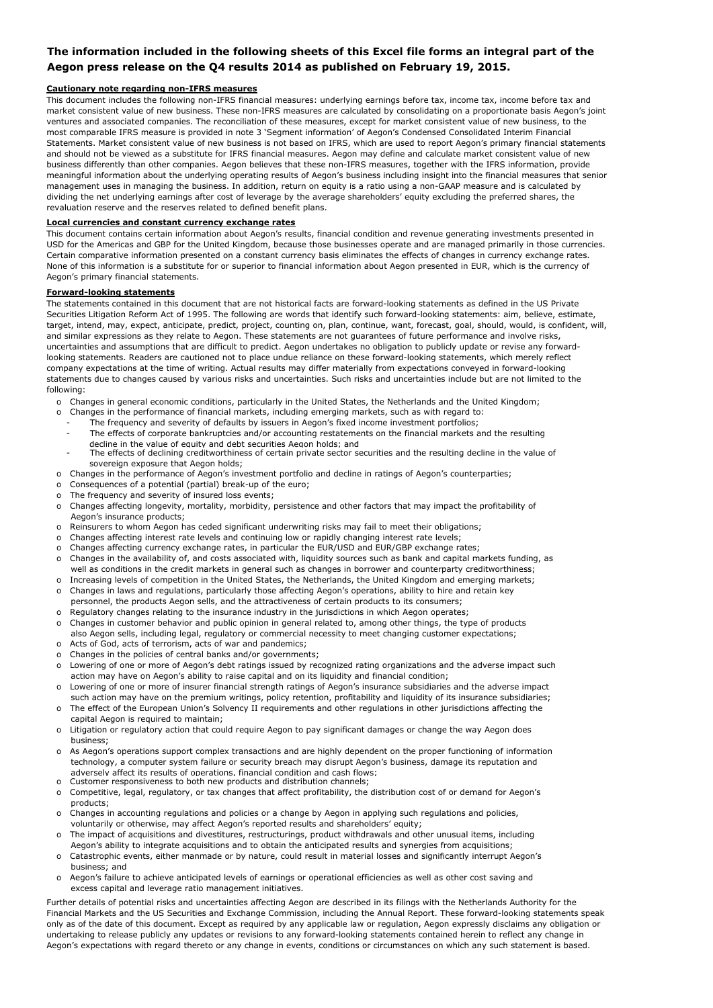### **The information included in the following sheets of this Excel file forms an integral part of the Aegon press release on the Q4 results 2014 as published on February 19, 2015.**

#### **Cautionary note regarding non-IFRS measures**

This document includes the following non-IFRS financial measures: underlying earnings before tax, income tax, income before tax and market consistent value of new business. These non-IFRS measures are calculated by consolidating on a proportionate basis Aegon's joint ventures and associated companies. The reconciliation of these measures, except for market consistent value of new business, to the most comparable IFRS measure is provided in note 3 'Segment information' of Aegon's Condensed Consolidated Interim Financial Statements. Market consistent value of new business is not based on IFRS, which are used to report Aegon's primary financial statements and should not be viewed as a substitute for IFRS financial measures. Aegon may define and calculate market consistent value of new business differently than other companies. Aegon believes that these non-IFRS measures, together with the IFRS information, provide meaningful information about the underlying operating results of Aegon's business including insight into the financial measures that senior management uses in managing the business. In addition, return on equity is a ratio using a non-GAAP measure and is calculated by dividing the net underlying earnings after cost of leverage by the average shareholders' equity excluding the preferred shares, the revaluation reserve and the reserves related to defined benefit plans.

#### **Local currencies and constant currency exchange rates**

This document contains certain information about Aegon's results, financial condition and revenue generating investments presented in USD for the Americas and GBP for the United Kingdom, because those businesses operate and are managed primarily in those currencies. Certain comparative information presented on a constant currency basis eliminates the effects of changes in currency exchange rates. None of this information is a substitute for or superior to financial information about Aegon presented in EUR, which is the currency of Aegon's primary financial statements.

### **Forward-looking statements**

The statements contained in this document that are not historical facts are forward-looking statements as defined in the US Private Securities Litigation Reform Act of 1995. The following are words that identify such forward-looking statements: aim, believe, estimate, target, intend, may, expect, anticipate, predict, project, counting on, plan, continue, want, forecast, goal, should, would, is confident, will, and similar expressions as they relate to Aegon. These statements are not guarantees of future performance and involve risks, uncertainties and assumptions that are difficult to predict. Aegon undertakes no obligation to publicly update or revise any forwardlooking statements. Readers are cautioned not to place undue reliance on these forward-looking statements, which merely reflect company expectations at the time of writing. Actual results may differ materially from expectations conveyed in forward-looking statements due to changes caused by various risks and uncertainties. Such risks and uncertainties include but are not limited to the following:

- o Changes in general economic conditions, particularly in the United States, the Netherlands and the United Kingdom;
- o Changes in the performance of financial markets, including emerging markets, such as with regard to:
	- The frequency and severity of defaults by issuers in Aegon's fixed income investment portfolios;
	- The effects of corporate bankruptcies and/or accounting restatements on the financial markets and the resulting decline in the value of equity and debt securities Aegon holds; and
	- The effects of declining creditworthiness of certain private sector securities and the resulting decline in the value of sovereign exposure that Aegon holds;
- o Changes in the performance of Aegon's investment portfolio and decline in ratings of Aegon's counterparties;
- o Consequences of a potential (partial) break-up of the euro;
- o The frequency and severity of insured loss events;
- o Changes affecting longevity, mortality, morbidity, persistence and other factors that may impact the profitability of Aegon's insurance products;
- o Reinsurers to whom Aegon has ceded significant underwriting risks may fail to meet their obligations;
- o Changes affecting interest rate levels and continuing low or rapidly changing interest rate levels;
- o Changes affecting currency exchange rates, in particular the EUR/USD and EUR/GBP exchange rates;
- o Changes in the availability of, and costs associated with, liquidity sources such as bank and capital markets funding, as well as conditions in the credit markets in general such as changes in borrower and counterparty creditworthiness;
- o Increasing levels of competition in the United States, the Netherlands, the United Kingdom and emerging markets; o Changes in laws and regulations, particularly those affecting Aegon's operations, ability to hire and retain key
- personnel, the products Aegon sells, and the attractiveness of certain products to its consumers;
- o Regulatory changes relating to the insurance industry in the jurisdictions in which Aegon operates;
- o Acts of God, acts of terrorism, acts of war and pandemics; o Changes in customer behavior and public opinion in general related to, among other things, the type of products also Aegon sells, including legal, regulatory or commercial necessity to meet changing customer expectations;
- Changes in the policies of central banks and/or governments;
- o Lowering of one or more of Aegon's debt ratings issued by recognized rating organizations and the adverse impact such action may have on Aegon's ability to raise capital and on its liquidity and financial condition;
- o Lowering of one or more of insurer financial strength ratings of Aegon's insurance subsidiaries and the adverse impact
- such action may have on the premium writings, policy retention, profitability and liquidity of its insurance subsidiaries; The effect of the European Union's Solvency II requirements and other regulations in other jurisdictions affecting the capital Aegon is required to maintain;
- o Litigation or regulatory action that could require Aegon to pay significant damages or change the way Aegon does business;
- o As Aegon's operations support complex transactions and are highly dependent on the proper functioning of information technology, a computer system failure or security breach may disrupt Aegon's business, damage its reputation and adversely affect its results of operations, financial condition and cash flows;
- o Customer responsiveness to both new products and distribution channels;
- Competitive, legal, regulatory, or tax changes that affect profitability, the distribution cost of or demand for Aegon's products;
- o Changes in accounting regulations and policies or a change by Aegon in applying such regulations and policies, voluntarily or otherwise, may affect Aegon's reported results and shareholders' equity;
- o The impact of acquisitions and divestitures, restructurings, product withdrawals and other unusual items, including Aegon's ability to integrate acquisitions and to obtain the anticipated results and synergies from acquisitions;
- Catastrophic events, either manmade or by nature, could result in material losses and significantly interrupt Aegon's business; and
- o Aegon's failure to achieve anticipated levels of earnings or operational efficiencies as well as other cost saving and excess capital and leverage ratio management initiatives.

Further details of potential risks and uncertainties affecting Aegon are described in its filings with the Netherlands Authority for the Financial Markets and the US Securities and Exchange Commission, including the Annual Report. These forward-looking statements speak only as of the date of this document. Except as required by any applicable law or regulation, Aegon expressly disclaims any obligation or undertaking to release publicly any updates or revisions to any forward-looking statements contained herein to reflect any change in Aegon's expectations with regard thereto or any change in events, conditions or circumstances on which any such statement is based.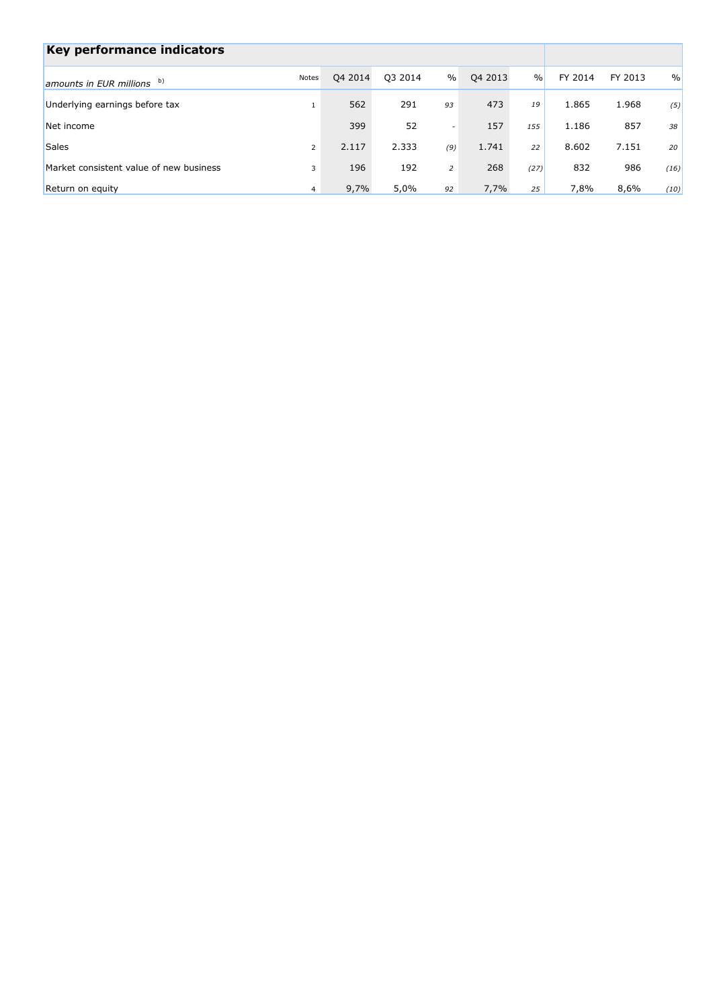| Key performance indicators              |                |         |         |                          |         |               |         |         |               |
|-----------------------------------------|----------------|---------|---------|--------------------------|---------|---------------|---------|---------|---------------|
| amounts in EUR millions b)              | Notes          | Q4 2014 | Q3 2014 | $\%$                     | Q4 2013 | $\frac{0}{0}$ | FY 2014 | FY 2013 | $\frac{0}{0}$ |
| Underlying earnings before tax          |                | 562     | 291     | 93                       | 473     | 19            | 1.865   | 1.968   | (5)           |
| Net income                              |                | 399     | 52      | $\overline{\phantom{a}}$ | 157     | 155           | 1.186   | 857     | 38            |
| <b>Sales</b>                            | $\overline{2}$ | 2.117   | 2.333   | (9)                      | 1.741   | 22            | 8.602   | 7.151   | 20            |
| Market consistent value of new business | 3              | 196     | 192     | 2                        | 268     | (27)          | 832     | 986     | (16)          |
| Return on equity                        | $\overline{4}$ | 9,7%    | 5,0%    | 92                       | 7,7%    | 25            | 7,8%    | 8,6%    | (10)          |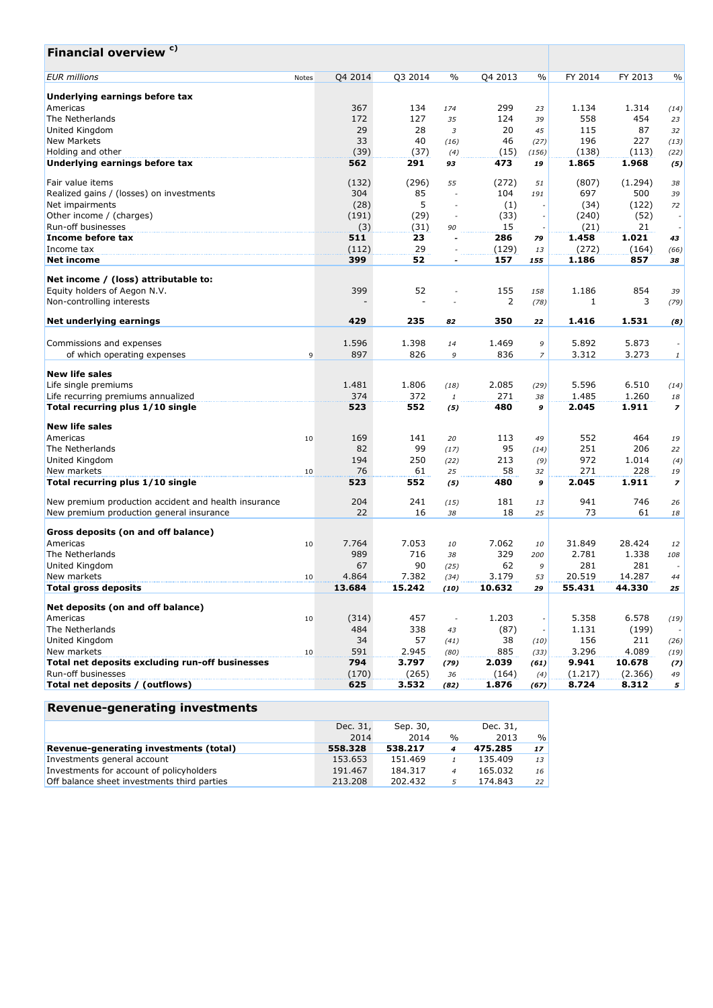| Financial overview <sup>c)</sup>                                      |       |              |                |                          |                |                |                  |                  |                          |
|-----------------------------------------------------------------------|-------|--------------|----------------|--------------------------|----------------|----------------|------------------|------------------|--------------------------|
| <b>EUR</b> millions                                                   | Notes | Q4 2014      | Q3 2014        | $\frac{0}{0}$            | Q4 2013        | $\%$           | FY 2014          | FY 2013          | $\frac{0}{0}$            |
| Underlying earnings before tax                                        |       |              |                |                          |                |                |                  |                  |                          |
| Americas                                                              |       | 367          | 134            | 174                      | 299            | 23             | 1.134            | 1.314            | (14)                     |
| The Netherlands                                                       |       | 172          | 127            | 35                       | 124            | 39             | 558              | 454              | 23                       |
| United Kingdom                                                        |       | 29           | 28             | $\overline{3}$           | 20             | 45             | 115              | 87               | 32                       |
| <b>New Markets</b>                                                    |       | 33           | 40             | (16)                     | 46             | (27)           | 196              | 227              | (13)                     |
| Holding and other                                                     |       | (39)         | (37)           | (4)                      | (15)           | (156)          | (138)            | (113)            | (22)                     |
| Underlying earnings before tax                                        |       | 562          | 291            | 93                       | 473            | 19             | 1.865            | 1.968            | (5)                      |
|                                                                       |       |              |                |                          |                |                |                  |                  |                          |
| Fair value items                                                      |       | (132)        | (296)          | 55                       | (272)          | 51             | (807)            | (1.294)          | 38                       |
| Realized gains / (losses) on investments                              |       | 304          | 85             | $\overline{\phantom{a}}$ | 104            | 191            | 697              | 500              | 39                       |
| Net impairments                                                       |       | (28)         | 5              | $\overline{\phantom{a}}$ | (1)            |                | (34)             | (122)            | 72                       |
| Other income / (charges)                                              |       | (191)        | (29)           | $\overline{\phantom{a}}$ | (33)           |                | (240)            | (52)             | $\overline{\phantom{a}}$ |
| Run-off businesses                                                    |       | (3)          | (31)           | 90                       | 15             |                | (21)             | 21               |                          |
| Income before tax                                                     |       | 511          | 23             | $\overline{a}$           | 286            | 79             | 1.458            | 1.021            | 43                       |
| Income tax                                                            |       | (112)        | 29             | $\overline{\phantom{a}}$ | (129)          | 13             | (272)            | (164)            | (66)                     |
| <b>Net income</b>                                                     |       | 399          | 52             | $\tilde{\phantom{a}}$    | 157            | 155            | 1.186            | 857              | 38                       |
|                                                                       |       |              |                |                          |                |                |                  |                  |                          |
| Net income / (loss) attributable to:                                  |       |              |                |                          |                |                |                  |                  |                          |
| Equity holders of Aegon N.V.                                          |       | 399          | 52             | $\overline{a}$           | 155            | 158            | 1.186            | 854              | 39                       |
| Non-controlling interests                                             |       |              |                |                          | 2              | (78)           | 1                | 3                | (79)                     |
|                                                                       |       |              |                |                          |                |                |                  |                  |                          |
| Net underlying earnings                                               |       | 429          | 235            | 82                       | 350            | 22             | 1.416            | 1.531            | (8)                      |
| Commissions and expenses                                              |       | 1.596        | 1.398          | 14                       | 1.469          | 9              | 5.892            | 5.873            |                          |
| of which operating expenses                                           | 9     | 897          | 826            | 9                        | 836            | $\overline{z}$ | 3.312            | 3.273            | $\it 1$                  |
|                                                                       |       |              |                |                          |                |                |                  |                  |                          |
| <b>New life sales</b>                                                 |       |              |                |                          |                |                |                  |                  |                          |
| Life single premiums                                                  |       | 1.481        | 1.806          | (18)                     | 2.085          | (29)           | 5.596            | 6.510            | (14)                     |
| Life recurring premiums annualized                                    |       | 374          | 372            | 1                        | 271            | 38             | 1.485            | 1.260            | 18                       |
| Total recurring plus 1/10 single                                      |       | 523          | 552            | (5)                      | 480            | 9              | 2.045            | 1.911            | $\overline{z}$           |
|                                                                       |       |              |                |                          |                |                |                  |                  |                          |
| <b>New life sales</b>                                                 |       |              |                |                          |                |                |                  |                  |                          |
| Americas                                                              | 10    | 169          | 141            | 20                       | 113            | 49             | 552              | 464              | 19                       |
| The Netherlands                                                       |       | 82           | 99             | (17)                     | 95             | (14)           | 251              | 206              | 22                       |
| United Kingdom                                                        |       | 194          | 250            | (22)                     | 213            | (9)            | 972              | 1.014            | (4)                      |
| New markets                                                           | 10    | 76           | 61             | 25                       | 58             | 32             | 271              | 228              | 19                       |
| Total recurring plus 1/10 single                                      |       | 523          | 552            | (5)                      | 480            | 9              | 2.045            | 1.911            | $\overline{\phantom{a}}$ |
|                                                                       |       |              |                |                          |                |                |                  |                  |                          |
| New premium production accident and health insurance                  |       | 204          | 241            | (15)                     | 181            | 13             | 941              | 746              | 26                       |
| New premium production general insurance                              |       | 22           | 16             | 38                       | 18             | 25             | 73               | 61               | 18                       |
| Gross deposits (on and off balance)                                   |       |              |                |                          |                |                |                  |                  |                          |
| Americas                                                              | 10    | 7.764        | 7.053          | 10                       | 7.062          | 10             | 31.849           | 28.424           | 12                       |
| The Netherlands                                                       |       | 989          | 716            | 38                       | 329            | 200            | 2.781            | 1.338            | 108                      |
| United Kingdom                                                        |       | 67           | 90             | (25)                     | 62             | 9              | 281              | 281              | $\overline{\phantom{a}}$ |
| New markets                                                           |       | 4.864        | 7.382          |                          | 3.179          | 53             | 20.519           | 14.287           |                          |
|                                                                       | 10    |              |                | (34)                     |                |                |                  |                  | 44                       |
| <b>Total gross deposits</b>                                           |       | 13.684       | 15.242         | (10)                     | 10.632         | 29             | 55.431           | 44.330           | 25                       |
| Net deposits (on and off balance)                                     |       |              |                |                          |                |                |                  |                  |                          |
| Americas                                                              | 10    | (314)        | 457            | $\overline{\phantom{a}}$ | 1.203          |                | 5.358            | 6.578            | (19)                     |
| The Netherlands                                                       |       | 484          | 338            | 43                       | (87)           |                | 1.131            | (199)            |                          |
| United Kingdom                                                        |       | 34           | 57             | (41)                     | 38             | (10)           | 156              | 211              |                          |
| New markets                                                           |       | 591          | 2.945          |                          | 885            |                | 3.296            | 4.089            | (26)                     |
|                                                                       | 10    |              |                | (80)                     |                | (33)           |                  |                  | (19)                     |
| Total net deposits excluding run-off businesses<br>Run-off businesses |       | 794          | 3.797          | (79)                     | 2.039          | (61)           | 9.941            | 10.678           | (7)                      |
| Total net deposits / (outflows)                                       |       | (170)<br>625 | (265)<br>3.532 | 36                       | (164)<br>1.876 | (4)            | (1.217)<br>8.724 | (2.366)<br>8.312 | 49                       |
|                                                                       |       |              |                | (82)                     |                | (67)           |                  |                  | 5 <sup>1</sup>           |

# **Revenue-generating investments**

|                                             | Dec. 31,<br>2014 | Sep. 30,<br>2014 | $\frac{0}{0}$    | Dec. 31,<br>2013 | $\frac{0}{0}$   |
|---------------------------------------------|------------------|------------------|------------------|------------------|-----------------|
| Revenue-generating investments (total)      | 558,328          | 538.217          | $\boldsymbol{4}$ | 475.285          | 17 <sup>1</sup> |
| Investments general account                 | 153.653          | 151.469          |                  | 135.409          | 13              |
| Investments for account of policyholders    | 191.467          | 184.317          | $\boldsymbol{A}$ | 165.032          | 16              |
| Off balance sheet investments third parties | 213,208          | 202.432          |                  | 174.843          | 22              |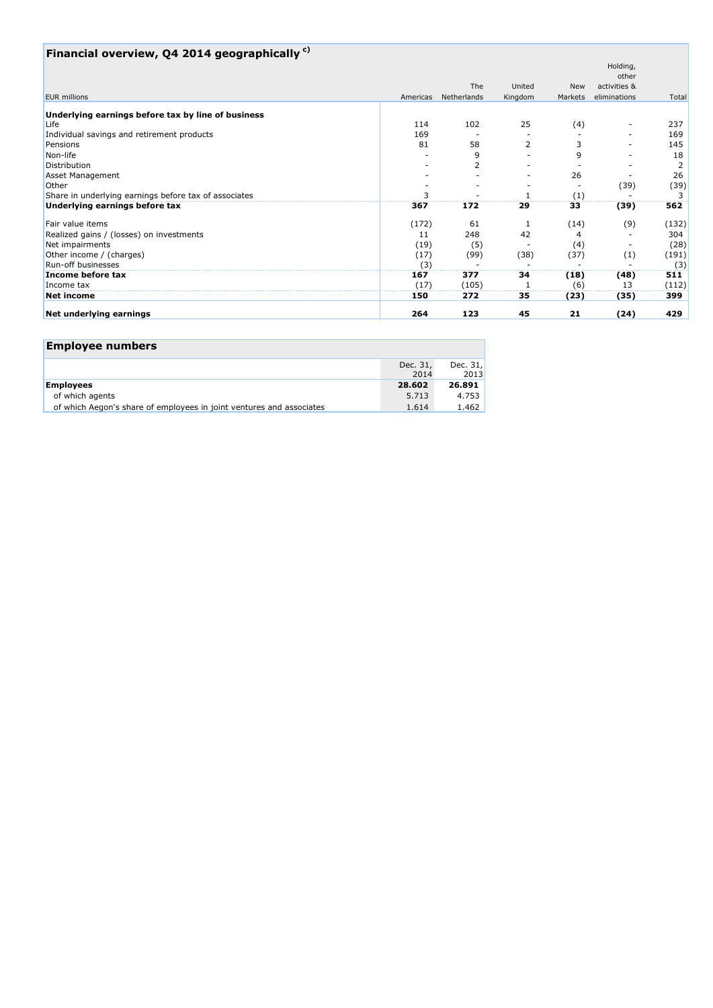# **Financial overview, Q4 2014 geographically c)**

|                                                       |          |             |         |         | Holding,     |       |
|-------------------------------------------------------|----------|-------------|---------|---------|--------------|-------|
|                                                       |          |             |         |         | other        |       |
|                                                       |          | The         | United  | New     | activities & |       |
| <b>EUR</b> millions                                   | Americas | Netherlands | Kingdom | Markets | eliminations | Total |
| Underlying earnings before tax by line of business    |          |             |         |         |              |       |
| Life                                                  | 114      | 102         | 25      | (4)     |              | 237   |
| Individual savings and retirement products            | 169      |             |         |         |              | 169   |
| Pensions                                              | 81       | 58          | 2       |         |              | 145   |
| Non-life                                              |          | 9           |         | 9       |              | 18    |
| Distribution                                          |          | 2           |         |         |              | 2     |
| Asset Management                                      |          |             |         | 26      |              | 26    |
| Other                                                 |          |             |         |         | (39)         | (39)  |
| Share in underlying earnings before tax of associates |          |             |         | (1)     |              |       |
| Underlying earnings before tax                        | 367      | 172         | 29      | 33      | (39)         | 562   |
| Fair value items                                      | (172)    | 61          |         | (14)    | (9)          | (132) |
| Realized gains / (losses) on investments              | 11       | 248         | 42      |         |              | 304   |
| Net impairments                                       | (19)     | (5)         |         | (4)     |              | (28)  |
| Other income / (charges)                              | (17)     | (99)        | (38)    | (37)    | (1)          | (191) |
| Run-off businesses                                    | (3)      |             |         |         |              | (3)   |
| Income before tax                                     | 167      | 377         | 34      | (18)    | (48)         | 511   |
| Income tax                                            | (17)     | (105)       |         | (6)     | 13           | (112) |
| <b>Net income</b>                                     | 150      | 272         | 35      | (23)    | (35)         | 399   |
| Net underlying earnings                               | 264      | 123         | 45      | 21      | (24)         | 429   |

### **Employee numbers**

|                                                                      | Dec. 31,<br>2014 | Dec. $31.$<br>2013 |
|----------------------------------------------------------------------|------------------|--------------------|
| <b>Employees</b>                                                     | 28.602           | 26.891             |
| of which agents                                                      | 5.713            | 4.753              |
| of which Aegon's share of employees in joint ventures and associates | 1.614            | 1.462              |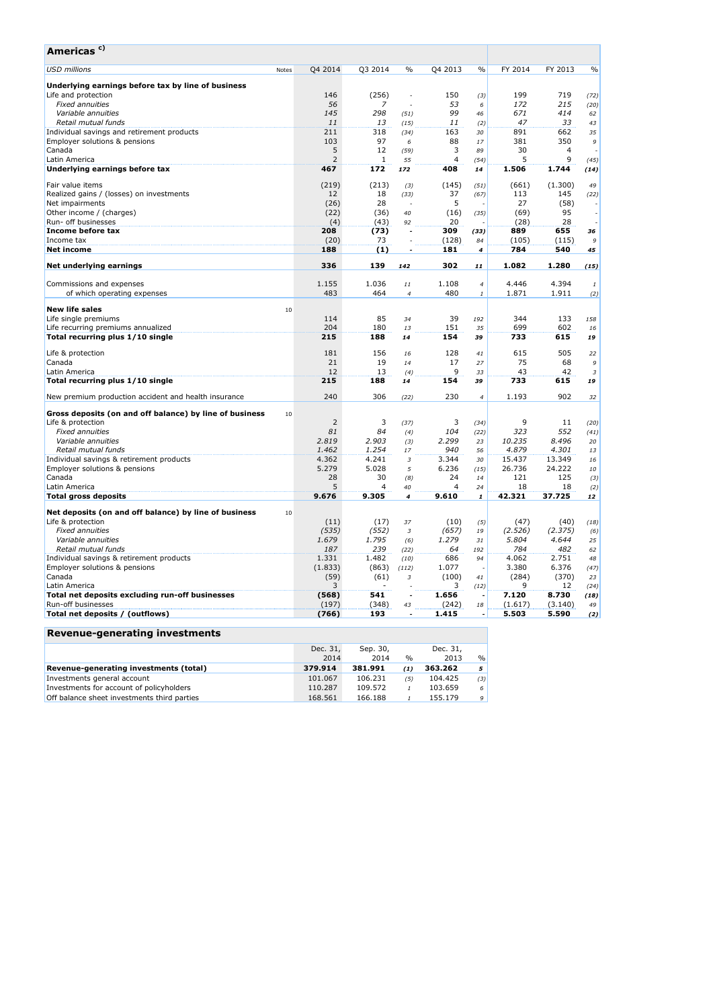| Americas <sup>c)</sup>                                                    |       |                |                |                              |                |                    |                  |                  |                          |
|---------------------------------------------------------------------------|-------|----------------|----------------|------------------------------|----------------|--------------------|------------------|------------------|--------------------------|
| <b>USD millions</b>                                                       | Notes | Q4 2014        | Q3 2014        | $\%$                         | Q4 2013        | $\frac{0}{0}$      | FY 2014          | FY 2013          | $\frac{0}{0}$            |
| Underlying earnings before tax by line of business                        |       |                |                |                              |                |                    |                  |                  |                          |
| Life and protection                                                       |       | 146            | (256)          | $\overline{a}$               | 150            | (3)                | 199              | 719              | (72)                     |
| <b>Fixed annuities</b>                                                    |       | 56             | 7              | i,                           | 53             | 6                  | 172              | 215              | (20)                     |
| Variable annuities                                                        |       | 145            | 298            | (51)                         | 99             | 46                 | 671              | 414              | 62                       |
| Retail mutual funds                                                       |       | 11             | 13             | (15)                         | 11             | (2)                | 47               | 33               | 43                       |
| Individual savings and retirement products                                |       | 211            | 318            | (34)                         | 163            | 30                 | 891              | 662              | 35                       |
| Employer solutions & pensions                                             |       | 103            | 97             | 6                            | 88             | 17                 | 381              | 350              | 9                        |
| Canada                                                                    |       | 5              | 12             | (59)                         | 3              | 89                 | 30               | 4                |                          |
| Latin America                                                             |       | $\overline{2}$ | 1              | 55                           | $\overline{4}$ | (54)               | 5                | 9                | (45)                     |
| Underlying earnings before tax                                            |       | 467            | 172            | 172                          | 408            | 14                 | 1.506            | 1.744            | (14)                     |
| Fair value items                                                          |       | (219)          | (213)          | (3)                          | (145)          | (51)               | (661)            | (1.300)          | 49                       |
| Realized gains / (losses) on investments                                  |       | 12             | 18             | (33)                         | 37             | (67)               | 113              | 145              | (22)                     |
| Net impairments                                                           |       | (26)           | 28             | $\overline{\phantom{a}}$     | 5              |                    | 27               | (58)             | $\overline{\phantom{a}}$ |
| Other income / (charges)                                                  |       | (22)           | (36)           | 40                           | (16)           | (35)               | (69)             | 95               |                          |
| Run- off businesses                                                       |       | (4)            | (43)           | 92                           | 20             |                    | (28)             | 28               |                          |
| Income before tax                                                         |       | 208            | (73)           |                              | 309            | (33)               | 889              | 655              | 36                       |
| Income tax                                                                |       | (20)           | 73             | ÷.                           | (128)          | 84                 | (105)            | (115)            | 9                        |
| Net income                                                                |       | 188            | (1)            | ÷,                           | 181            | 4                  | 784              | 540              | 45                       |
| Net underlying earnings                                                   |       | 336            | 139            | 142                          | 302            | 11                 | 1.082            | 1.280            | (15)                     |
| Commissions and expenses                                                  |       | 1.155          | 1.036          | $11\,$                       | 1.108          | $\overline{4}$     | 4.446            | 4.394            | $\it 1$                  |
| of which operating expenses                                               |       | 483            | 464            | $\overline{4}$               | 480            | $\it 1$            | 1.871            | 1.911            | (2)                      |
| <b>New life sales</b>                                                     | 10    |                |                |                              |                |                    |                  |                  |                          |
| Life single premiums                                                      |       | 114            | 85             | 34                           | 39             | 192                | 344              | 133              | 158                      |
| Life recurring premiums annualized                                        |       | 204            | 180            | 13                           | 151            | 35                 | 699              | 602              | 16                       |
| Total recurring plus 1/10 single                                          |       | 215            | 188            | 14                           | 154            | 39                 | 733              | 615              | 19                       |
| Life & protection                                                         |       | 181            | 156            | 16                           | 128            | 41                 | 615              | 505              | 22                       |
| Canada                                                                    |       | 21             | 19             | 14                           | 17             | 27                 | 75               | 68               | 9                        |
| Latin America                                                             |       | 12             | 13             | (4)                          | 9              | 33                 | 43               | 42               | $\sqrt{3}$               |
| Total recurring plus 1/10 single                                          |       | 215            | 188            | 14                           | 154            | 39                 | 733              | 615              | 19                       |
| New premium production accident and health insurance                      |       | 240            | 306            | (22)                         | 230            | $\overline{4}$     | 1.193            | 902              | 32                       |
|                                                                           |       |                |                |                              |                |                    |                  |                  |                          |
| Gross deposits (on and off balance) by line of business                   | 10    | $\overline{2}$ | 3              |                              | 3              |                    | 9                |                  |                          |
| Life & protection                                                         |       | 81             | 84             | (37)                         |                | (34)               | 323              | 11<br>552        | (20)                     |
| <b>Fixed annuities</b>                                                    |       |                |                | (4)                          | 104            | (22)               |                  |                  | (41)                     |
| Variable annuities                                                        |       | 2.819          | 2.903          | (3)                          | 2.299          | 23                 | 10.235           | 8.496            | 20                       |
| Retail mutual funds                                                       |       | 1.462          | 1.254          | 17                           | 940            | 56                 | 4.879            | 4.301            | 13                       |
| Individual savings & retirement products                                  |       | 4.362<br>5.279 | 4.241<br>5.028 | $\overline{\mathbf{3}}$<br>5 | 3.344          | 30                 | 15.437<br>26.736 | 13.349<br>24.222 | 16                       |
| Employer solutions & pensions<br>Canada                                   |       | 28             | 30             | (8)                          | 6.236<br>24    | (15)<br>14         | 121              | 125              | 10                       |
| Latin America                                                             |       | 5              | 4              | 40                           | 4              | 24                 | 18               | 18               | (3)<br>(2)               |
| Total gross deposits                                                      |       | 9.676          | 9.305          | 4                            | 9.610          | $\pmb{\mathit{1}}$ | 42.321           | 37.725           | 12                       |
| Net deposits (on and off balance) by line of business                     | 10    |                |                |                              |                |                    |                  |                  |                          |
| Life & protection                                                         |       | (11)           | (17)           | 37                           | (10)           |                    | (47)             | (40)             |                          |
| <b>Fixed annuities</b>                                                    |       |                | (552)          |                              |                | (5)                |                  | (2.375)          | (18)                     |
| Variable annuities                                                        |       | (535)<br>1.679 | 1.795          | $\overline{\mathbf{3}}$      | (657)<br>1.279 | 19<br>31           | (2.526)<br>5.804 | 4.644            | (6)<br>25                |
| Retail mutual funds                                                       |       | 187            | 239            | (6)                          | 64             |                    | 784              | 482              | 62                       |
|                                                                           |       | 1.331          | 1.482          | (22)<br>(10)                 | 686            | 192<br>94          | 4.062            | 2.751            | 48                       |
| Individual savings & retirement products<br>Employer solutions & pensions |       | (1.833)        | (863)          | (112)                        | 1.077          |                    | 3.380            | 6.376            | (47)                     |
| Canada                                                                    |       | (59)           | (61)           | $\overline{\mathbf{3}}$      | (100)          | 41                 | (284)            | (370)            | 23                       |
| Latin America                                                             |       | 3              |                |                              | 3              | (12)               | 9                | 12               | (24)                     |
| Total net deposits excluding run-off businesses                           |       | (568)          | 541            | Ĭ.                           | 1.656          |                    | 7.120            | 8.730            |                          |
| Run-off businesses                                                        |       | (197)          | (348)          | 43                           | (242)          | 18                 | (1.617)          | (3.140)          | (18)<br>49               |
| Total net deposits / (outflows)                                           |       | (766)          | 193            |                              | 1.415          |                    | 5.503            | 5.590            | (2)                      |
|                                                                           |       |                |                |                              |                |                    |                  |                  |                          |
| <b>Revenue-generating investments</b>                                     |       |                |                |                              |                |                    |                  |                  |                          |
|                                                                           |       | Dec. 31,       | Sep. 30,       |                              | Dec. 31,       |                    |                  |                  |                          |

|                                             | Dec. 31. | Sep. 30, |               | Dec. 31, |               |
|---------------------------------------------|----------|----------|---------------|----------|---------------|
|                                             | 2014     | 2014     | $\frac{0}{0}$ | 2013     | $\frac{0}{0}$ |
| Revenue-generating investments (total)      | 379.914  | 381.991  | (1)           | 363.262  | 5.            |
| Investments general account                 | 101.067  | 106.231  | (5)           | 104.425  | (3)           |
| Investments for account of policyholders    | 110.287  | 109.572  |               | 103.659  | 6             |
| Off balance sheet investments third parties | 168.561  | 166.188  |               | 155.179  | 9             |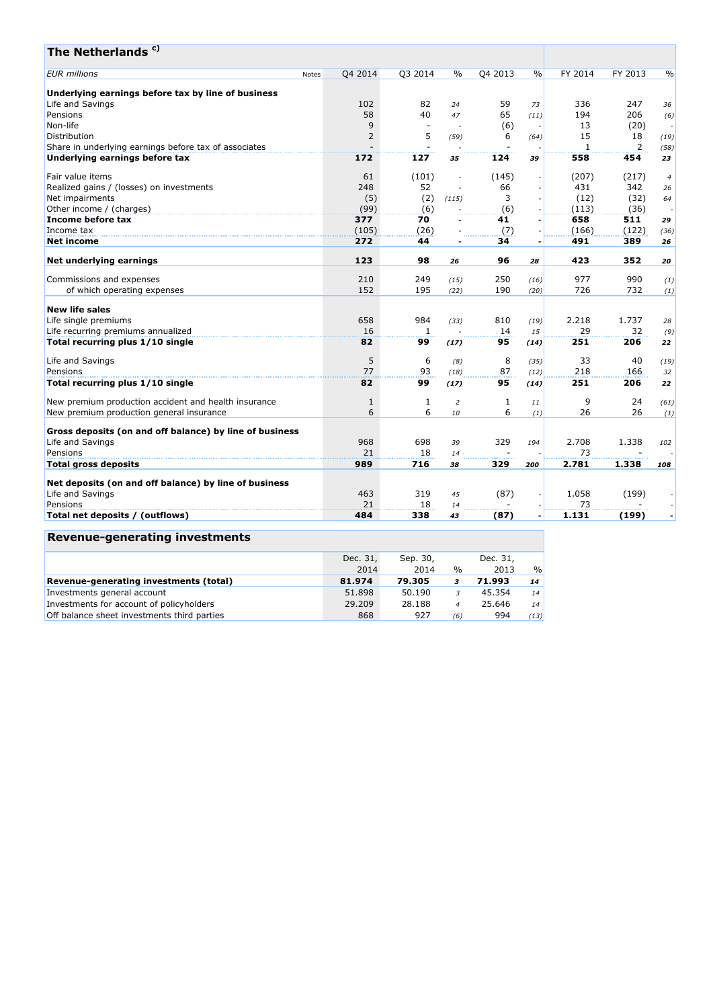| Q4 2013<br>FY 2014<br>FY 2013<br>Q4 2014<br>Q3 2014<br>$\%$<br>$\frac{0}{0}$<br>$\frac{0}{0}$<br>Notes<br>Underlying earnings before tax by line of business<br>59<br>102<br>82<br>336<br>247<br>Life and Savings<br>24<br>73<br>36<br>65<br>Pensions<br>58<br>40<br>194<br>206<br>47<br>(11)<br>(6)<br>Non-life<br>9<br>(6)<br>13<br>(20)<br>$\overline{\phantom{a}}$<br>$\sim$<br>$\overline{\phantom{a}}$<br>$\overline{2}$<br>5<br>15<br>Distribution<br>18<br>6<br>(19)<br>(59)<br>(64)<br>$\overline{2}$<br>$\mathbf{1}$<br>Share in underlying earnings before tax of associates<br>(58)<br>172<br>127<br>558<br>454<br>124<br>35<br>39<br>23<br>61<br>(101)<br>(145)<br>(207)<br>(217)<br>$\boldsymbol{4}$<br>248<br>52<br>66<br>431<br>342<br>26<br>(5)<br>3<br>(12)<br>(2)<br>(32)<br>(115)<br>64<br>(99)<br>(6)<br>(6)<br>(113)<br>(36)<br>$\overline{\phantom{a}}$<br>377<br>70<br>41<br>658<br>511<br>29<br>$\overline{a}$<br>(105)<br>(122)<br>(26)<br>(7)<br>(166)<br>(36)<br>272<br>44<br>34<br>491<br>389<br>26<br>$\overline{\phantom{a}}$<br>123<br>423<br>352<br>98<br>96<br>26<br>28<br>20<br>250<br>977<br>990<br>210<br>249<br>Commissions and expenses<br>(15)<br>(16)<br>(1)<br>152<br>190<br>726<br>of which operating expenses<br>195<br>732<br>(22)<br>(20)<br>(1)<br>658<br>984<br>810<br>2.218<br>1.737<br>(19)<br>(33)<br>28<br>16<br>29<br>$\mathbf{1}$<br>14<br>32<br>15<br>(9)<br>82<br>251<br>99<br>95<br>206<br>(17)<br>(14)<br>22<br>5<br>6<br>8<br>33<br>40<br>(8)<br>(35)<br>(19)<br>77<br>93<br>87<br>218<br>166<br>(18)<br>(12)<br>32<br>99<br>251<br>82<br>95<br>206<br>(17)<br>(14)<br>22<br>9<br>24<br>$\mathbf{1}$<br>1<br>1<br>$\overline{a}$<br>(61)<br>11<br>6<br>6<br>6<br>26<br>26<br>10<br>(1)<br>(1)<br>Gross deposits (on and off balance) by line of business<br>Life and Savings<br>968<br>698<br>329<br>2.708<br>1.338<br>39<br>194<br>102<br>21<br>18<br>73<br>14<br>989<br>716<br>329<br>2.781<br>1.338<br>38<br>200<br>108<br>Net deposits (on and off balance) by line of business<br>Life and Savings<br>463<br>1.058<br>319<br>(87)<br>(199)<br>45<br>21<br>18<br>73<br>Pensions<br>14<br>484<br>338<br>(87)<br>1.131<br>(199)<br>43<br>$\overline{\phantom{a}}$ | The Netherlands <sup>c)</sup>                        |  |  |  |  |  |
|--------------------------------------------------------------------------------------------------------------------------------------------------------------------------------------------------------------------------------------------------------------------------------------------------------------------------------------------------------------------------------------------------------------------------------------------------------------------------------------------------------------------------------------------------------------------------------------------------------------------------------------------------------------------------------------------------------------------------------------------------------------------------------------------------------------------------------------------------------------------------------------------------------------------------------------------------------------------------------------------------------------------------------------------------------------------------------------------------------------------------------------------------------------------------------------------------------------------------------------------------------------------------------------------------------------------------------------------------------------------------------------------------------------------------------------------------------------------------------------------------------------------------------------------------------------------------------------------------------------------------------------------------------------------------------------------------------------------------------------------------------------------------------------------------------------------------------------------------------------------------------------------------------------------------------------------------------------------------------------------------------------------------------------------------------------------------------------------------------------------------------------------------------------------------------------------------------------------------------|------------------------------------------------------|--|--|--|--|--|
|                                                                                                                                                                                                                                                                                                                                                                                                                                                                                                                                                                                                                                                                                                                                                                                                                                                                                                                                                                                                                                                                                                                                                                                                                                                                                                                                                                                                                                                                                                                                                                                                                                                                                                                                                                                                                                                                                                                                                                                                                                                                                                                                                                                                                                | <b>EUR</b> millions                                  |  |  |  |  |  |
|                                                                                                                                                                                                                                                                                                                                                                                                                                                                                                                                                                                                                                                                                                                                                                                                                                                                                                                                                                                                                                                                                                                                                                                                                                                                                                                                                                                                                                                                                                                                                                                                                                                                                                                                                                                                                                                                                                                                                                                                                                                                                                                                                                                                                                |                                                      |  |  |  |  |  |
|                                                                                                                                                                                                                                                                                                                                                                                                                                                                                                                                                                                                                                                                                                                                                                                                                                                                                                                                                                                                                                                                                                                                                                                                                                                                                                                                                                                                                                                                                                                                                                                                                                                                                                                                                                                                                                                                                                                                                                                                                                                                                                                                                                                                                                |                                                      |  |  |  |  |  |
|                                                                                                                                                                                                                                                                                                                                                                                                                                                                                                                                                                                                                                                                                                                                                                                                                                                                                                                                                                                                                                                                                                                                                                                                                                                                                                                                                                                                                                                                                                                                                                                                                                                                                                                                                                                                                                                                                                                                                                                                                                                                                                                                                                                                                                |                                                      |  |  |  |  |  |
|                                                                                                                                                                                                                                                                                                                                                                                                                                                                                                                                                                                                                                                                                                                                                                                                                                                                                                                                                                                                                                                                                                                                                                                                                                                                                                                                                                                                                                                                                                                                                                                                                                                                                                                                                                                                                                                                                                                                                                                                                                                                                                                                                                                                                                |                                                      |  |  |  |  |  |
|                                                                                                                                                                                                                                                                                                                                                                                                                                                                                                                                                                                                                                                                                                                                                                                                                                                                                                                                                                                                                                                                                                                                                                                                                                                                                                                                                                                                                                                                                                                                                                                                                                                                                                                                                                                                                                                                                                                                                                                                                                                                                                                                                                                                                                |                                                      |  |  |  |  |  |
|                                                                                                                                                                                                                                                                                                                                                                                                                                                                                                                                                                                                                                                                                                                                                                                                                                                                                                                                                                                                                                                                                                                                                                                                                                                                                                                                                                                                                                                                                                                                                                                                                                                                                                                                                                                                                                                                                                                                                                                                                                                                                                                                                                                                                                |                                                      |  |  |  |  |  |
|                                                                                                                                                                                                                                                                                                                                                                                                                                                                                                                                                                                                                                                                                                                                                                                                                                                                                                                                                                                                                                                                                                                                                                                                                                                                                                                                                                                                                                                                                                                                                                                                                                                                                                                                                                                                                                                                                                                                                                                                                                                                                                                                                                                                                                | Underlying earnings before tax                       |  |  |  |  |  |
|                                                                                                                                                                                                                                                                                                                                                                                                                                                                                                                                                                                                                                                                                                                                                                                                                                                                                                                                                                                                                                                                                                                                                                                                                                                                                                                                                                                                                                                                                                                                                                                                                                                                                                                                                                                                                                                                                                                                                                                                                                                                                                                                                                                                                                | Fair value items                                     |  |  |  |  |  |
|                                                                                                                                                                                                                                                                                                                                                                                                                                                                                                                                                                                                                                                                                                                                                                                                                                                                                                                                                                                                                                                                                                                                                                                                                                                                                                                                                                                                                                                                                                                                                                                                                                                                                                                                                                                                                                                                                                                                                                                                                                                                                                                                                                                                                                | Realized gains / (losses) on investments             |  |  |  |  |  |
|                                                                                                                                                                                                                                                                                                                                                                                                                                                                                                                                                                                                                                                                                                                                                                                                                                                                                                                                                                                                                                                                                                                                                                                                                                                                                                                                                                                                                                                                                                                                                                                                                                                                                                                                                                                                                                                                                                                                                                                                                                                                                                                                                                                                                                | Net impairments                                      |  |  |  |  |  |
|                                                                                                                                                                                                                                                                                                                                                                                                                                                                                                                                                                                                                                                                                                                                                                                                                                                                                                                                                                                                                                                                                                                                                                                                                                                                                                                                                                                                                                                                                                                                                                                                                                                                                                                                                                                                                                                                                                                                                                                                                                                                                                                                                                                                                                | Other income / (charges)                             |  |  |  |  |  |
|                                                                                                                                                                                                                                                                                                                                                                                                                                                                                                                                                                                                                                                                                                                                                                                                                                                                                                                                                                                                                                                                                                                                                                                                                                                                                                                                                                                                                                                                                                                                                                                                                                                                                                                                                                                                                                                                                                                                                                                                                                                                                                                                                                                                                                | Income before tax                                    |  |  |  |  |  |
|                                                                                                                                                                                                                                                                                                                                                                                                                                                                                                                                                                                                                                                                                                                                                                                                                                                                                                                                                                                                                                                                                                                                                                                                                                                                                                                                                                                                                                                                                                                                                                                                                                                                                                                                                                                                                                                                                                                                                                                                                                                                                                                                                                                                                                | Income tax                                           |  |  |  |  |  |
|                                                                                                                                                                                                                                                                                                                                                                                                                                                                                                                                                                                                                                                                                                                                                                                                                                                                                                                                                                                                                                                                                                                                                                                                                                                                                                                                                                                                                                                                                                                                                                                                                                                                                                                                                                                                                                                                                                                                                                                                                                                                                                                                                                                                                                | <b>Net income</b>                                    |  |  |  |  |  |
|                                                                                                                                                                                                                                                                                                                                                                                                                                                                                                                                                                                                                                                                                                                                                                                                                                                                                                                                                                                                                                                                                                                                                                                                                                                                                                                                                                                                                                                                                                                                                                                                                                                                                                                                                                                                                                                                                                                                                                                                                                                                                                                                                                                                                                | Net underlying earnings                              |  |  |  |  |  |
|                                                                                                                                                                                                                                                                                                                                                                                                                                                                                                                                                                                                                                                                                                                                                                                                                                                                                                                                                                                                                                                                                                                                                                                                                                                                                                                                                                                                                                                                                                                                                                                                                                                                                                                                                                                                                                                                                                                                                                                                                                                                                                                                                                                                                                |                                                      |  |  |  |  |  |
|                                                                                                                                                                                                                                                                                                                                                                                                                                                                                                                                                                                                                                                                                                                                                                                                                                                                                                                                                                                                                                                                                                                                                                                                                                                                                                                                                                                                                                                                                                                                                                                                                                                                                                                                                                                                                                                                                                                                                                                                                                                                                                                                                                                                                                |                                                      |  |  |  |  |  |
|                                                                                                                                                                                                                                                                                                                                                                                                                                                                                                                                                                                                                                                                                                                                                                                                                                                                                                                                                                                                                                                                                                                                                                                                                                                                                                                                                                                                                                                                                                                                                                                                                                                                                                                                                                                                                                                                                                                                                                                                                                                                                                                                                                                                                                | <b>New life sales</b>                                |  |  |  |  |  |
|                                                                                                                                                                                                                                                                                                                                                                                                                                                                                                                                                                                                                                                                                                                                                                                                                                                                                                                                                                                                                                                                                                                                                                                                                                                                                                                                                                                                                                                                                                                                                                                                                                                                                                                                                                                                                                                                                                                                                                                                                                                                                                                                                                                                                                | Life single premiums                                 |  |  |  |  |  |
|                                                                                                                                                                                                                                                                                                                                                                                                                                                                                                                                                                                                                                                                                                                                                                                                                                                                                                                                                                                                                                                                                                                                                                                                                                                                                                                                                                                                                                                                                                                                                                                                                                                                                                                                                                                                                                                                                                                                                                                                                                                                                                                                                                                                                                | Life recurring premiums annualized                   |  |  |  |  |  |
|                                                                                                                                                                                                                                                                                                                                                                                                                                                                                                                                                                                                                                                                                                                                                                                                                                                                                                                                                                                                                                                                                                                                                                                                                                                                                                                                                                                                                                                                                                                                                                                                                                                                                                                                                                                                                                                                                                                                                                                                                                                                                                                                                                                                                                | Total recurring plus 1/10 single                     |  |  |  |  |  |
|                                                                                                                                                                                                                                                                                                                                                                                                                                                                                                                                                                                                                                                                                                                                                                                                                                                                                                                                                                                                                                                                                                                                                                                                                                                                                                                                                                                                                                                                                                                                                                                                                                                                                                                                                                                                                                                                                                                                                                                                                                                                                                                                                                                                                                | Life and Savings                                     |  |  |  |  |  |
|                                                                                                                                                                                                                                                                                                                                                                                                                                                                                                                                                                                                                                                                                                                                                                                                                                                                                                                                                                                                                                                                                                                                                                                                                                                                                                                                                                                                                                                                                                                                                                                                                                                                                                                                                                                                                                                                                                                                                                                                                                                                                                                                                                                                                                | Pensions                                             |  |  |  |  |  |
|                                                                                                                                                                                                                                                                                                                                                                                                                                                                                                                                                                                                                                                                                                                                                                                                                                                                                                                                                                                                                                                                                                                                                                                                                                                                                                                                                                                                                                                                                                                                                                                                                                                                                                                                                                                                                                                                                                                                                                                                                                                                                                                                                                                                                                | Total recurring plus 1/10 single                     |  |  |  |  |  |
|                                                                                                                                                                                                                                                                                                                                                                                                                                                                                                                                                                                                                                                                                                                                                                                                                                                                                                                                                                                                                                                                                                                                                                                                                                                                                                                                                                                                                                                                                                                                                                                                                                                                                                                                                                                                                                                                                                                                                                                                                                                                                                                                                                                                                                | New premium production accident and health insurance |  |  |  |  |  |
|                                                                                                                                                                                                                                                                                                                                                                                                                                                                                                                                                                                                                                                                                                                                                                                                                                                                                                                                                                                                                                                                                                                                                                                                                                                                                                                                                                                                                                                                                                                                                                                                                                                                                                                                                                                                                                                                                                                                                                                                                                                                                                                                                                                                                                | New premium production general insurance             |  |  |  |  |  |
|                                                                                                                                                                                                                                                                                                                                                                                                                                                                                                                                                                                                                                                                                                                                                                                                                                                                                                                                                                                                                                                                                                                                                                                                                                                                                                                                                                                                                                                                                                                                                                                                                                                                                                                                                                                                                                                                                                                                                                                                                                                                                                                                                                                                                                |                                                      |  |  |  |  |  |
|                                                                                                                                                                                                                                                                                                                                                                                                                                                                                                                                                                                                                                                                                                                                                                                                                                                                                                                                                                                                                                                                                                                                                                                                                                                                                                                                                                                                                                                                                                                                                                                                                                                                                                                                                                                                                                                                                                                                                                                                                                                                                                                                                                                                                                |                                                      |  |  |  |  |  |
|                                                                                                                                                                                                                                                                                                                                                                                                                                                                                                                                                                                                                                                                                                                                                                                                                                                                                                                                                                                                                                                                                                                                                                                                                                                                                                                                                                                                                                                                                                                                                                                                                                                                                                                                                                                                                                                                                                                                                                                                                                                                                                                                                                                                                                | Pensions                                             |  |  |  |  |  |
|                                                                                                                                                                                                                                                                                                                                                                                                                                                                                                                                                                                                                                                                                                                                                                                                                                                                                                                                                                                                                                                                                                                                                                                                                                                                                                                                                                                                                                                                                                                                                                                                                                                                                                                                                                                                                                                                                                                                                                                                                                                                                                                                                                                                                                | <b>Total gross deposits</b>                          |  |  |  |  |  |
|                                                                                                                                                                                                                                                                                                                                                                                                                                                                                                                                                                                                                                                                                                                                                                                                                                                                                                                                                                                                                                                                                                                                                                                                                                                                                                                                                                                                                                                                                                                                                                                                                                                                                                                                                                                                                                                                                                                                                                                                                                                                                                                                                                                                                                |                                                      |  |  |  |  |  |
|                                                                                                                                                                                                                                                                                                                                                                                                                                                                                                                                                                                                                                                                                                                                                                                                                                                                                                                                                                                                                                                                                                                                                                                                                                                                                                                                                                                                                                                                                                                                                                                                                                                                                                                                                                                                                                                                                                                                                                                                                                                                                                                                                                                                                                |                                                      |  |  |  |  |  |
|                                                                                                                                                                                                                                                                                                                                                                                                                                                                                                                                                                                                                                                                                                                                                                                                                                                                                                                                                                                                                                                                                                                                                                                                                                                                                                                                                                                                                                                                                                                                                                                                                                                                                                                                                                                                                                                                                                                                                                                                                                                                                                                                                                                                                                |                                                      |  |  |  |  |  |
|                                                                                                                                                                                                                                                                                                                                                                                                                                                                                                                                                                                                                                                                                                                                                                                                                                                                                                                                                                                                                                                                                                                                                                                                                                                                                                                                                                                                                                                                                                                                                                                                                                                                                                                                                                                                                                                                                                                                                                                                                                                                                                                                                                                                                                | Total net deposits / (outflows)                      |  |  |  |  |  |

# **Revenue-generating investments**

| Dec. 31, | Sep. 30, |               | Dec. 31, |               |
|----------|----------|---------------|----------|---------------|
| 2014     | 2014     | $\frac{0}{0}$ | 2013     | $\frac{0}{0}$ |
| 81.974   | 79.305   |               | 71.993   | 14            |
| 51.898   | 50.190   |               | 45.354   | 14            |
| 29.209   | 28.188   | 4             | 25.646   | 14            |
| 868      | 927      | (6)           | 994      | (13)          |
|          |          |               |          |               |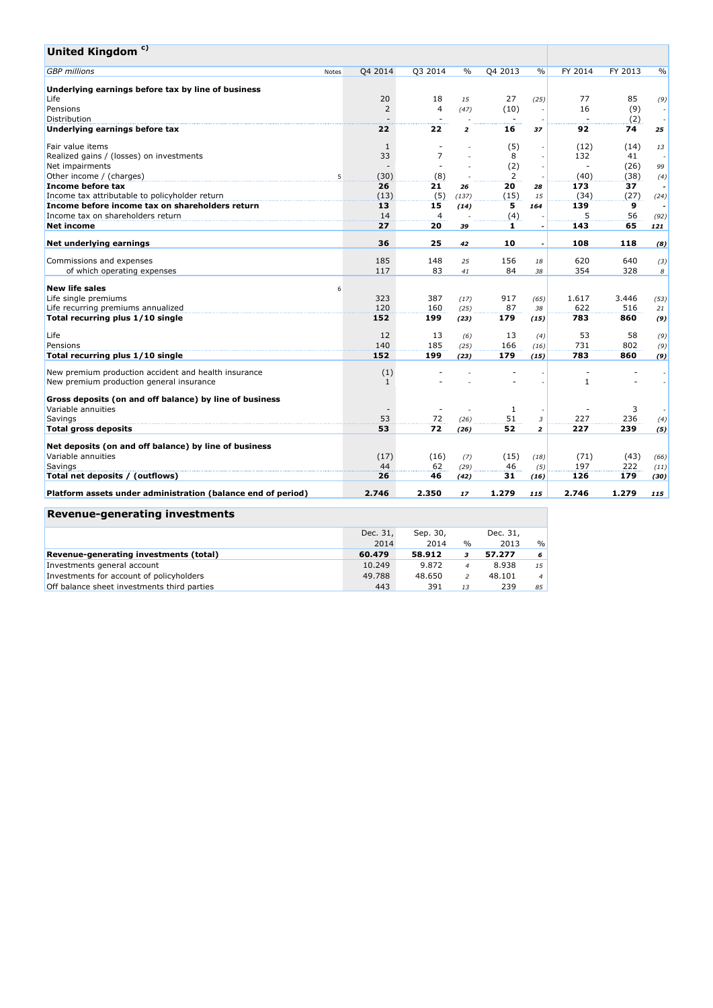| United Kingdom <sup>c)</sup>                                 |                          |                |                         |         |                          |                          |         |                          |
|--------------------------------------------------------------|--------------------------|----------------|-------------------------|---------|--------------------------|--------------------------|---------|--------------------------|
| <b>GBP</b> millions<br>Notes                                 | Q4 2014                  | Q3 2014        | $\%$                    | Q4 2013 | $\frac{0}{0}$            | FY 2014                  | FY 2013 | $\%$                     |
| Underlying earnings before tax by line of business           |                          |                |                         |         |                          |                          |         |                          |
| Life                                                         | 20                       | 18             | 15                      | 27      | (25)                     | 77                       | 85      | (9)                      |
| Pensions                                                     | $\overline{2}$           | $\overline{4}$ | (47)                    | (10)    |                          | 16                       | (9)     | $\sim$                   |
| Distribution                                                 |                          |                |                         |         |                          |                          | (2)     | $\sim$                   |
| Underlying earnings before tax                               | 22                       | 22             | $\overline{\mathbf{z}}$ | 16      | 37                       | 92                       | 74      | 25                       |
| Fair value items                                             | $\mathbf{1}$             |                |                         | (5)     |                          | (12)                     | (14)    | 13                       |
| Realized gains / (losses) on investments                     | 33                       | $\overline{7}$ | ×.                      | 8       |                          | 132                      | 41      | $\sim$                   |
| Net impairments                                              | $\overline{\phantom{a}}$ |                |                         | (2)     |                          | $\overline{\phantom{a}}$ | (26)    | 99                       |
| Other income / (charges)<br>5                                | (30)                     | (8)            | $\sim$                  | 2       |                          | (40)                     | (38)    | (4)                      |
| Income before tax                                            | 26                       | 21             | 26                      | 20      | 28                       | 173                      | 37      | $\overline{\phantom{a}}$ |
| Income tax attributable to policyholder return               | (13)                     | (5)            | (137)                   | (15)    | 15                       | (34)                     | (27)    | (24)                     |
| Income before income tax on shareholders return              | 13                       | 15             | (14)                    | 5       | 164                      | 139                      | 9       |                          |
| Income tax on shareholders return                            | 14                       | $\overline{4}$ |                         | (4)     |                          | 5                        | 56      | (92)                     |
| <b>Net income</b>                                            | 27                       | 20             | 39                      | 1       | $\overline{\phantom{a}}$ | 143                      | 65      | 121                      |
| Net underlying earnings                                      | 36                       | 25             | 42                      | 10      | $\overline{\phantom{a}}$ | 108                      | 118     | (8)                      |
| Commissions and expenses                                     | 185                      | 148            | 25                      | 156     | 18                       | 620                      | 640     | (3)                      |
| of which operating expenses                                  | 117                      | 83             | 41                      | 84      | 38                       | 354                      | 328     | 8                        |
| <b>New life sales</b><br>6                                   |                          |                |                         |         |                          |                          |         |                          |
| Life single premiums                                         | 323                      | 387            | (17)                    | 917     | (65)                     | 1.617                    | 3.446   | (53)                     |
| Life recurring premiums annualized                           | 120                      | 160            | (25)                    | 87      | 38                       | 622                      | 516     | 21                       |
| Total recurring plus 1/10 single                             | 152                      | 199            | (23)                    | 179     | (15)                     | 783                      | 860     | (9)                      |
| Life                                                         | 12                       | 13             | (6)                     | 13      | (4)                      | 53                       | 58      | (9)                      |
| Pensions                                                     | 140                      | 185            | (25)                    | 166     | (16)                     | 731                      | 802     | (9)                      |
| Total recurring plus 1/10 single                             | 152                      | 199            | (23)                    | 179     | (15)                     | 783                      | 860     | (9)                      |
| New premium production accident and health insurance         | (1)                      |                |                         |         |                          |                          |         |                          |
| New premium production general insurance                     | $\mathbf{1}$             |                |                         |         |                          | $\mathbf{1}$             |         |                          |
| Gross deposits (on and off balance) by line of business      |                          |                |                         |         |                          |                          |         |                          |
| Variable annuities                                           |                          |                |                         | 1       |                          |                          | 3       |                          |
| Savings                                                      | 53                       | 72             | (26)                    | 51      | 3                        | 227                      | 236     | (4)                      |
| <b>Total gross deposits</b>                                  | 53                       | 72             | (26)                    | 52      | $\overline{2}$           | 227                      | 239     | (5)                      |
| Net deposits (on and off balance) by line of business        |                          |                |                         |         |                          |                          |         |                          |
| Variable annuities                                           | (17)                     | (16)           | (7)                     | (15)    | (18)                     | (71)                     | (43)    | (66)                     |
| Savings                                                      | 44                       | 62             | (29)                    | 46      | (5)                      | 197                      | 222     | (11)                     |
| Total net deposits / (outflows)                              | 26                       | 46             | (42)                    | 31      | (16)                     | 126                      | 179     | (30)                     |
| Platform assets under administration (balance end of period) | 2.746                    | 2.350          | 17                      | 1.279   | 115                      | 2.746                    | 1.279   | 115                      |
| <b>Revenue-generating investments</b>                        |                          |                |                         |         |                          |                          |         |                          |

|                                             | Dec. 31, | Sep. 30, |               | Dec. 31, |                |
|---------------------------------------------|----------|----------|---------------|----------|----------------|
|                                             | 2014     | 2014     | $\frac{0}{0}$ | 2013     | $\frac{0}{0}$  |
| Revenue-generating investments (total)      | 60.479   | 58.912   |               | 57.277   | 6              |
| Investments general account                 | 10.249   | 9.872    |               | 8.938    | 15             |
| Investments for account of policyholders    | 49.788   | 48.650   |               | 48.101   | $\overline{4}$ |
| Off balance sheet investments third parties | 443      | 391      | 13            | 239      | 85             |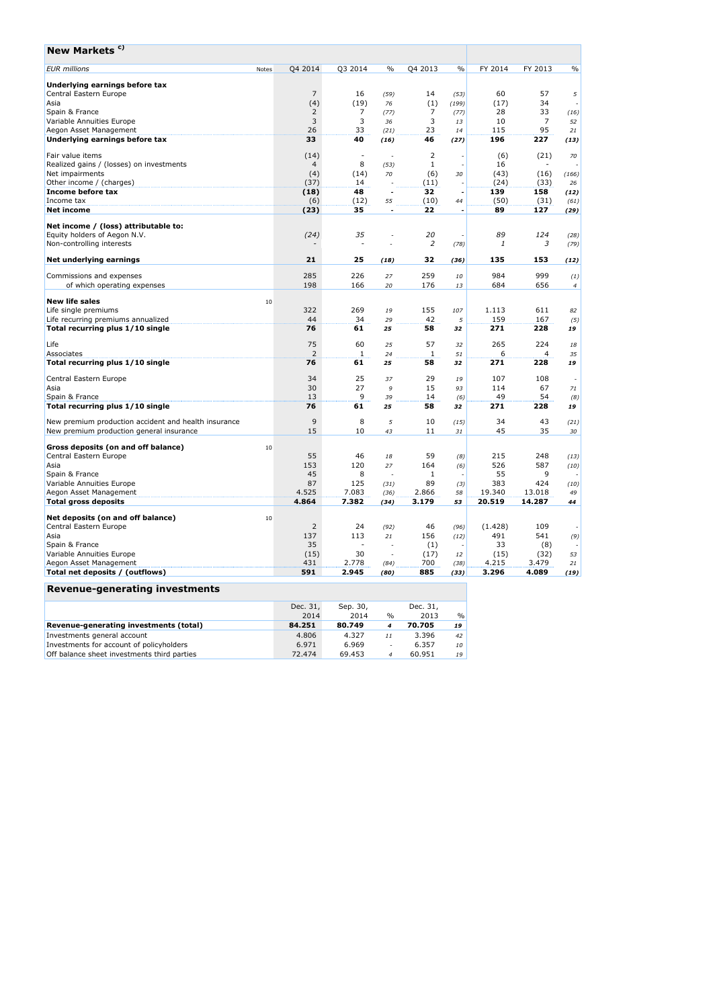| New Markets <sup>c)</sup>                                   |       |                |              |                          |                |                          |         |                |                          |
|-------------------------------------------------------------|-------|----------------|--------------|--------------------------|----------------|--------------------------|---------|----------------|--------------------------|
| <b>EUR</b> millions                                         | Notes | Q4 2014        | Q3 2014      | $\%$                     | Q4 2013        | $\%$                     | FY 2014 | FY 2013        | $\%$                     |
| Underlying earnings before tax                              |       |                |              |                          |                |                          |         |                |                          |
| Central Eastern Europe                                      |       | $\overline{7}$ | 16           | (59)                     | 14             | (53)                     | 60      | 57             | 5                        |
| Asia                                                        |       | (4)            | (19)         | 76                       | (1)            | (199)                    | (17)    | 34             | ÷.                       |
| Spain & France                                              |       | 2              | 7            | (77)                     | 7              | (77)                     | 28      | 33             | (16)                     |
| Variable Annuities Europe                                   |       | 3              | 3            | 36                       | 3              | 13                       | 10      | $\overline{7}$ | 52                       |
| Aegon Asset Management                                      |       | 26             | 33           | (21)                     | 23             | 14                       | 115     | 95             | 21                       |
| Underlying earnings before tax                              |       | 33             | 40           | (16)                     | 46             | (27)                     | 196     | 227            | (13)                     |
| Fair value items                                            |       | (14)           | $\sim$       |                          | $\overline{2}$ |                          | (6)     | (21)           | 70                       |
| Realized gains / (losses) on investments                    |       | $\overline{4}$ | 8            | (53)                     | 1              |                          | 16      |                |                          |
| Net impairments                                             |       | (4)            | (14)         | 70                       | (6)            | 30                       | (43)    | (16)           | (166)                    |
| Other income / (charges)                                    |       | (37)           | 14           |                          | (11)           |                          | (24)    | (33)           | 26                       |
| Income before tax                                           |       | (18)           | 48           |                          | 32             | ٠                        | 139     | 158            | (12)                     |
| Income tax                                                  |       | (6)            | (12)         | 55                       | (10)           | 44                       | (50)    | (31)           | (61)                     |
| <b>Net income</b>                                           |       | (23)           | 35           |                          | 22             | $\overline{\phantom{a}}$ | 89      | 127            | (29)                     |
| Net income / (loss) attributable to:                        |       |                |              |                          |                |                          |         |                |                          |
| Equity holders of Aegon N.V.                                |       | (24)           | 35           |                          | 20             |                          | 89      | 124            | (28)                     |
| Non-controlling interests                                   |       |                |              |                          | 2              | (78)                     | 1       | 3              | (79)                     |
| Net underlying earnings                                     |       | 21             | 25           | (18)                     | 32             | (36)                     | 135     | 153            | (12)                     |
| Commissions and expenses                                    |       | 285            | 226          | 27                       | 259            | 10                       | 984     | 999            | (1)                      |
| of which operating expenses                                 |       | 198            | 166          | 20                       | 176            | 13                       | 684     | 656            | $\overline{4}$           |
|                                                             |       |                |              |                          |                |                          |         |                |                          |
| <b>New life sales</b>                                       | 10    |                |              |                          |                |                          |         |                |                          |
| Life single premiums                                        |       | 322            | 269          | 19                       | 155            | 107                      | 1.113   | 611            | 82                       |
| Life recurring premiums annualized                          |       | 44             | 34           | 29                       | 42             | 5                        | 159     | 167            | (5)                      |
| Total recurring plus 1/10 single                            |       | 76             | 61           | 25                       | 58             | 32                       | 271     | 228            | 19                       |
| Life                                                        |       | 75             | 60           | 25                       | 57             | 32                       | 265     | 224            | 18                       |
| Associates                                                  |       | 2              | $\mathbf{1}$ | 24                       | 1              | 51                       | 6       | 4              | 35                       |
| Total recurring plus 1/10 single                            |       | 76             | 61           | 25                       | 58             | 32                       | 271     | 228            | 19                       |
| Central Eastern Europe                                      |       | 34             | 25           | 37                       | 29             | 19                       | 107     | 108            | $\overline{\phantom{a}}$ |
| Asia                                                        |       | 30             | 27           | 9                        | 15             | 93                       | 114     | 67             | 71                       |
| Spain & France                                              |       | 13             | 9            | 39                       | 14             | (6)                      | 49      | 54             | (8)                      |
| Total recurring plus 1/10 single                            |       | 76             | 61           | 25                       | 58             | 32                       | 271     | 228            | 19                       |
| New premium production accident and health insurance        |       | $\overline{9}$ | 8            | 5                        | 10             | (15)                     | 34      | 43             | (21)                     |
| New premium production general insurance                    |       | 15             | 10           | 43                       | 11             | 31                       | 45      | 35             | 30                       |
| Gross deposits (on and off balance)                         |       |                |              |                          |                |                          |         |                |                          |
| Central Eastern Europe                                      | 10    | 55             | 46           | 18                       | 59             |                          | 215     | 248            |                          |
| Asia                                                        |       | 153            | 120          | 27                       | 164            | (8)<br>(6)               | 526     | 587            | (13)<br>(10)             |
| Spain & France                                              |       | 45             | 8            |                          | 1              | $\overline{\phantom{a}}$ | 55      | 9              | ٠                        |
| Variable Annuities Europe                                   |       | 87             | 125          | (31)                     | 89             | (3)                      | 383     | 424            | (10)                     |
| Aegon Asset Management                                      |       | 4.525          | 7.083        | (36)                     | 2.866          | 58                       | 19.340  | 13.018         | 49                       |
| <b>Total gross deposits</b>                                 |       | 4.864          | 7.382        | (34)                     | 3.179          | 53                       | 20.519  | 14.287         | 44                       |
|                                                             |       |                |              |                          |                |                          |         |                |                          |
| Net deposits (on and off balance)<br>Central Eastern Europe | 10    | $\overline{2}$ | 24           |                          | 46             |                          | (1.428) | 109            |                          |
| Asia                                                        |       | 137            | 113          | (92)<br>21               | 156            | (96)<br>(12)             | 491     | 541            | (9)                      |
| Spain & France                                              |       | 35             | ٠            |                          | (1)            |                          | 33      | (8)            |                          |
| Variable Annuities Europe                                   |       | (15)           | 30           | $\overline{\phantom{a}}$ | (17)           | $12\,$                   | (15)    | (32)           | 53                       |
| Aegon Asset Management                                      |       | 431            | 2.778        | (84)                     | 700            | (38)                     | 4.215   | 3.479          | 21                       |
| Total net deposits / (outflows)                             |       | 591            | 2.945        | (80)                     | 885            | (33)                     | 3.296   | 4.089          | (19)                     |
|                                                             |       |                |              |                          |                |                          |         |                |                          |
| Revenue-generating investments                              |       |                |              |                          |                |                          |         |                |                          |

|                                             | Dec. 31, | Sep. 30, |                          | Dec. 31, |               |
|---------------------------------------------|----------|----------|--------------------------|----------|---------------|
|                                             | 2014     | 2014     | $\%$                     | 2013     | $\frac{0}{6}$ |
| Revenue-generating investments (total)      | 84.251   | 80.749   |                          | 70.705   | 19            |
| Investments general account                 | 4.806    | 4.327    | 11                       | 3.396    | 42            |
| Investments for account of policyholders    | 6.971    | 6.969    | $\overline{\phantom{a}}$ | 6.357    | 10            |
| Off balance sheet investments third parties | 72.474   | 69.453   | $\boldsymbol{d}$         | 60.951   | 19            |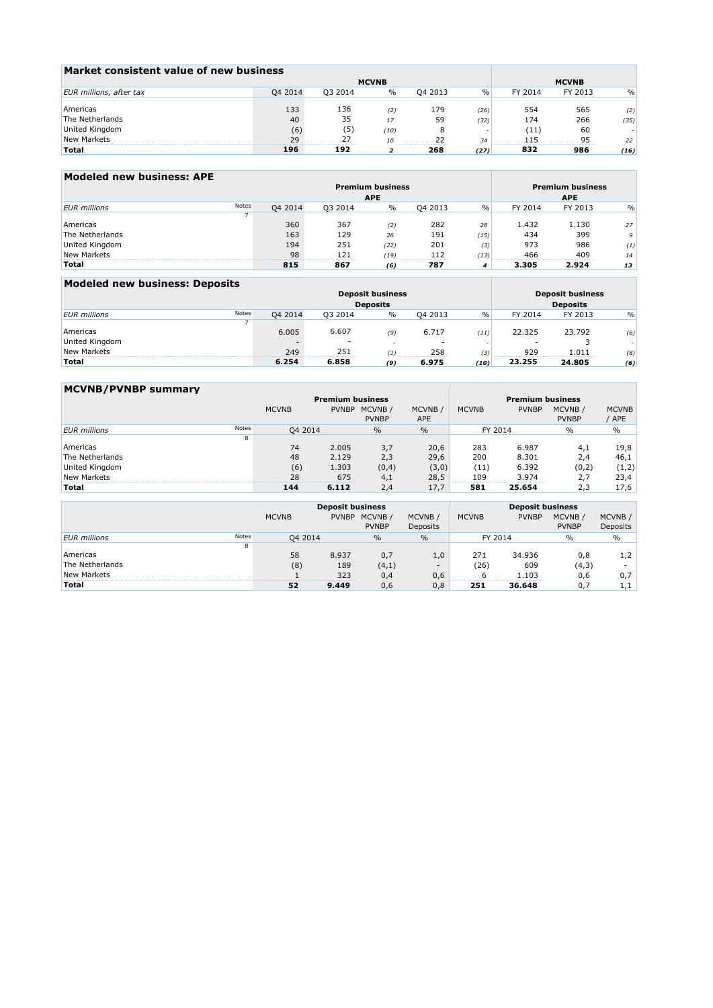| Market consistent value of new business |         |              |               |         |               |         |         |               |
|-----------------------------------------|---------|--------------|---------------|---------|---------------|---------|---------|---------------|
|                                         |         | <b>MCVNB</b> | <b>MCVNB</b>  |         |               |         |         |               |
| EUR millions, after tax                 | Q4 2014 | 03 2014      | $\frac{0}{0}$ | 04 2013 | $\frac{0}{0}$ | FY 2014 | FY 2013 | $\frac{0}{0}$ |
|                                         |         |              |               |         |               |         |         |               |
| Americas                                | 133     | 136          | (2)           | 179     | (26)          | 554     | 565     | (2)           |
| The Netherlands                         | 40      | 35           | 17            | 59      | (32)          | 174     | 266     | (35)          |
| United Kingdom                          | (6)     | (5)          | (10)          |         |               | '11'    | 60      |               |
| New Markets                             | 29      | つつ           | 10            |         | 34            |         | 95      | 22            |
| Total                                   | 196     | 192          |               | 268     | (27)          | 832     | 986     | (16)          |

| Modeled new business: APE |       |         |                         |                         |            |               |         |         |               |
|---------------------------|-------|---------|-------------------------|-------------------------|------------|---------------|---------|---------|---------------|
|                           |       |         | <b>Premium business</b> | <b>Premium business</b> |            |               |         |         |               |
|                           |       |         | <b>APE</b>              |                         | <b>APE</b> |               |         |         |               |
| <b>EUR</b> millions       | Notes | Q4 2014 | Q3 2014                 | $\%$                    | Q4 2013    | $\frac{0}{0}$ | FY 2014 | FY 2013 | $\frac{0}{0}$ |
|                           |       |         |                         |                         |            |               |         |         |               |
| Americas                  |       | 360     | 367                     | (2)                     | 282        | 28            | 1.432   | 1.130   | 27            |
| The Netherlands           |       | 163     | 129                     | 26                      | 191        | (15)          | 434     | 399     | 9             |
| United Kingdom            |       | 194     | 251                     | (22)                    | 201        | (3)           | 973     | 986     | (1)           |
| New Markets               |       | 98      | 121                     | (19)                    | 112        | (13)          | 466     | 409     | 14            |
| Total                     |       | 815     | 867                     | (6)                     | 787        |               | 3.305   | 2.924   | 13            |

### **Modeled new business: Deposits**

|                     |       |         | <b>Deposit business</b>  | <b>Deposit business</b> |                          |               |         |         |               |
|---------------------|-------|---------|--------------------------|-------------------------|--------------------------|---------------|---------|---------|---------------|
|                     |       |         | <b>Deposits</b>          | <b>Deposits</b>         |                          |               |         |         |               |
| <b>EUR</b> millions | Notes | Q4 2014 | Q3 2014                  | $\%$                    | Q4 2013                  | $\frac{0}{0}$ | FY 2014 | FY 2013 | $\frac{0}{0}$ |
|                     |       |         |                          |                         |                          |               |         |         |               |
| Americas            |       | 6.005   | 6.607                    | (9)                     | 6.717                    | (11)          | 22.325  | 23.792  | (6)           |
| United Kingdom      |       |         | $\overline{\phantom{a}}$ |                         | $\overline{\phantom{a}}$ |               |         |         |               |
| New Markets         |       | 249     | 251                      | 717                     | 258                      | (3)           | 929     | 1.011   | (8)           |
| <b>Total</b>        |       | 6.254   | 6.858                    | (9)                     | 6.975                    | (10)          | 23.255  | 24.805  | (6)           |

<u> Tanzania (h. 1878).</u>

| <b>MCVNB/PVNBP summary</b> |       |              |                         |                         |                      |              |              |                         |                       |
|----------------------------|-------|--------------|-------------------------|-------------------------|----------------------|--------------|--------------|-------------------------|-----------------------|
|                            |       |              | <b>Premium business</b> | <b>Premium business</b> |                      |              |              |                         |                       |
|                            |       | <b>MCVNB</b> | <b>PVNBP</b>            | MCVNB/<br><b>PVNBP</b>  | MCVNB/<br><b>APE</b> | <b>MCVNB</b> | <b>PVNBP</b> | MCVNB /<br><b>PVNBP</b> | <b>MCVNB</b><br>' APE |
| <b>EUR</b> millions        | Notes | Q4 2014      |                         | $\%$                    | $\frac{0}{0}$        | FY 2014      |              | $\%$                    | $\frac{0}{0}$         |
|                            | 8     |              |                         |                         |                      |              |              |                         |                       |
| Americas                   |       | 74           | 2.005                   | 3,7                     | 20,6                 | 283          | 6.987        | 4,1                     | 19,8                  |
| The Netherlands            |       | 48           | 2.129                   | 2,3                     | 29,6                 | 200          | 8.301        | 2,4                     | 46,1                  |
| United Kingdom             |       | (6)          | 1.303                   | (0,4)                   | (3,0)                | (11)         | 6.392        | (0,2)                   | (1,2)                 |
| New Markets                |       | 28           | 675                     | 4,1                     | 28,5                 | 109          | 3.974        | 2.7                     | 23,4                  |
| Total                      |       | 144          | 6.112                   | 2,4                     | 17.7                 | 581          | 25.654       | 2,3                     | 17,6                  |

|                     |       |              | <b>Deposit business</b> |                               |                          |              |              |                         |                           |
|---------------------|-------|--------------|-------------------------|-------------------------------|--------------------------|--------------|--------------|-------------------------|---------------------------|
|                     |       | <b>MCVNB</b> |                         | PVNBP MCVNB /<br><b>PVNBP</b> | MCVNB /<br>Deposits      | <b>MCVNB</b> | <b>PVNBP</b> | MCVNB /<br><b>PVNBP</b> | MCVNB/<br><b>Deposits</b> |
|                     | Notes |              |                         |                               |                          |              |              |                         |                           |
| <b>EUR</b> millions |       | Q4 2014      |                         | $\frac{0}{0}$                 | $\frac{0}{0}$            |              | FY 2014      | $\frac{0}{0}$           | $\%$                      |
|                     | 8     |              |                         |                               |                          |              |              |                         |                           |
| Americas            |       | 58           | 8.937                   | 0,7                           | 1,0                      | 271          | 34.936       | 0,8                     | 1,2                       |
| The Netherlands     |       | (8)          | 189                     | (4,1)                         | $\overline{\phantom{a}}$ | (26)         | 609          | (4,3)                   |                           |
| New Markets         |       |              | 323                     | 0,4                           | 0,6                      |              | .103         | 0,6                     | 0,7                       |
| <b>Total</b>        |       | 52           | 9.449                   | 0,6                           | 0.8                      | 251          | 36.648       | 0.7                     | 1,1                       |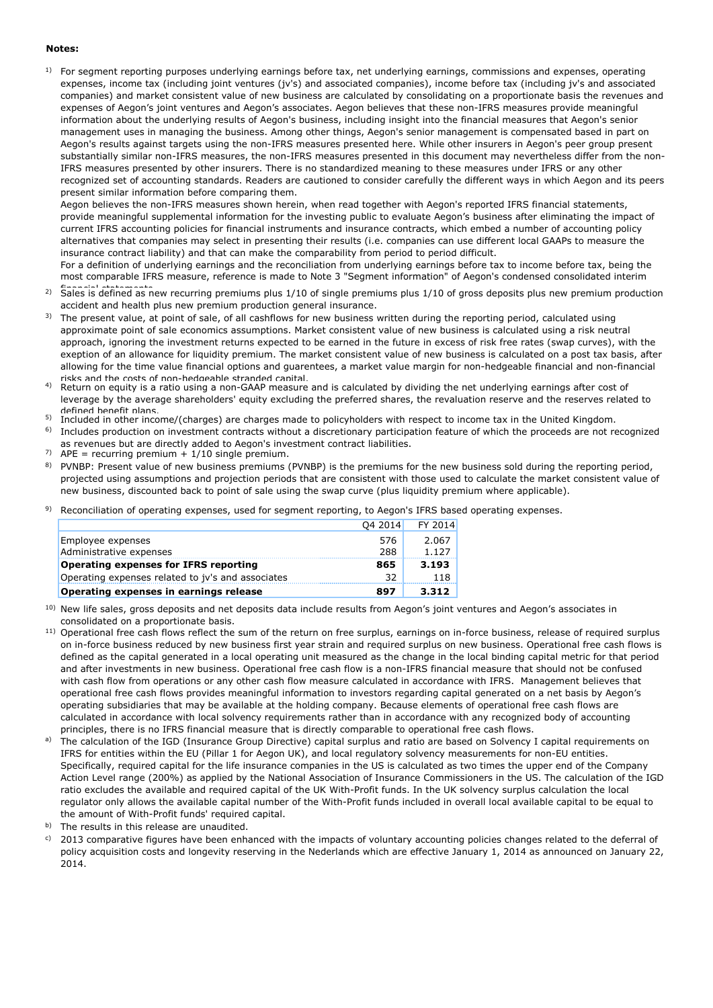#### **Notes:**

 $1$  For segment reporting purposes underlying earnings before tax, net underlying earnings, commissions and expenses, operating expenses, income tax (including joint ventures (jv's) and associated companies), income before tax (including jv's and associated companies) and market consistent value of new business are calculated by consolidating on a proportionate basis the revenues and expenses of Aegon's joint ventures and Aegon's associates. Aegon believes that these non-IFRS measures provide meaningful information about the underlying results of Aegon's business, including insight into the financial measures that Aegon's senior management uses in managing the business. Among other things, Aegon's senior management is compensated based in part on Aegon's results against targets using the non-IFRS measures presented here. While other insurers in Aegon's peer group present substantially similar non-IFRS measures, the non-IFRS measures presented in this document may nevertheless differ from the non-IFRS measures presented by other insurers. There is no standardized meaning to these measures under IFRS or any other recognized set of accounting standards. Readers are cautioned to consider carefully the different ways in which Aegon and its peers present similar information before comparing them.

Aegon believes the non-IFRS measures shown herein, when read together with Aegon's reported IFRS financial statements, provide meaningful supplemental information for the investing public to evaluate Aegon's business after eliminating the impact of current IFRS accounting policies for financial instruments and insurance contracts, which embed a number of accounting policy alternatives that companies may select in presenting their results (i.e. companies can use different local GAAPs to measure the insurance contract liability) and that can make the comparability from period to period difficult.

For a definition of underlying earnings and the reconciliation from underlying earnings before tax to income before tax, being the most comparable IFRS measure, reference is made to Note 3 "Segment information" of Aegon's condensed consolidated interim

- 2) Sales is defined as new recurring premiums plus 1/10 of single premiums plus 1/10 of gross deposits plus new premium production accident and health plus new premium production general insurance.
- <sup>3)</sup> The present value, at point of sale, of all cashflows for new business written during the reporting period, calculated using approximate point of sale economics assumptions. Market consistent value of new business is calculated using a risk neutral approach, ignoring the investment returns expected to be earned in the future in excess of risk free rates (swap curves), with the exeption of an allowance for liquidity premium. The market consistent value of new business is calculated on a post tax basis, after allowing for the time value financial options and guarentees, a market value margin for non-hedgeable financial and non-financial risks and the costs of non-hedgeable stranded capital.
- 4) Return on equity is a ratio using a non-GAAP measure and is calculated by dividing the net underlying earnings after cost of leverage by the average shareholders' equity excluding the preferred shares, the revaluation reserve and the reserves related to defined benefit plans.
- <sup>5)</sup> Included in other income/(charges) are charges made to policyholders with respect to income tax in the United Kingdom.
- 6) Includes production on investment contracts without a discretionary participation feature of which the proceeds are not recognized as revenues but are directly added to Aegon's investment contract liabilities.
- 7)  $APE = recurring premium + 1/10 single premium$ .
- <sup>8)</sup> PVNBP: Present value of new business premiums (PVNBP) is the premiums for the new business sold during the reporting period, projected using assumptions and projection periods that are consistent with those used to calculate the market consistent value of new business, discounted back to point of sale using the swap curve (plus liquidity premium where applicable).
- 9) Reconciliation of operating expenses, used for segment reporting, to Aegon's IFRS based operating expenses.

| <b>Operating expenses in earnings release</b>     | 897     | 3.312   |
|---------------------------------------------------|---------|---------|
| Operating expenses related to jy's and associates | 32      | 118     |
| <b>Operating expenses for IFRS reporting</b>      | 865     | 3.193   |
| Administrative expenses                           | 288     | 1.127   |
| Employee expenses                                 | 576     | 2.067   |
|                                                   | Q4 2014 | FY 2014 |

<sup>10)</sup> New life sales, gross deposits and net deposits data include results from Aegon's joint ventures and Aegon's associates in consolidated on a proportionate basis.

- <sup>11)</sup> Operational free cash flows reflect the sum of the return on free surplus, earnings on in-force business, release of required surplus on in-force business reduced by new business first year strain and required surplus on new business. Operational free cash flows is defined as the capital generated in a local operating unit measured as the change in the local binding capital metric for that period and after investments in new business. Operational free cash flow is a non-IFRS financial measure that should not be confused with cash flow from operations or any other cash flow measure calculated in accordance with IFRS. Management believes that operational free cash flows provides meaningful information to investors regarding capital generated on a net basis by Aegon's operating subsidiaries that may be available at the holding company. Because elements of operational free cash flows are calculated in accordance with local solvency requirements rather than in accordance with any recognized body of accounting principles, there is no IFRS financial measure that is directly comparable to operational free cash flows.
- a) The calculation of the IGD (Insurance Group Directive) capital surplus and ratio are based on Solvency I capital requirements on IFRS for entities within the EU (Pillar 1 for Aegon UK), and local regulatory solvency measurements for non-EU entities. Specifically, required capital for the life insurance companies in the US is calculated as two times the upper end of the Company Action Level range (200%) as applied by the National Association of Insurance Commissioners in the US. The calculation of the IGD ratio excludes the available and required capital of the UK With-Profit funds. In the UK solvency surplus calculation the local regulator only allows the available capital number of the With-Profit funds included in overall local available capital to be equal to the amount of With-Profit funds' required capital.
- b) The results in this release are unaudited.
- c) 2013 comparative figures have been enhanced with the impacts of voluntary accounting policies changes related to the deferral of policy acquisition costs and longevity reserving in the Nederlands which are effective January 1, 2014 as announced on January 22, 2014.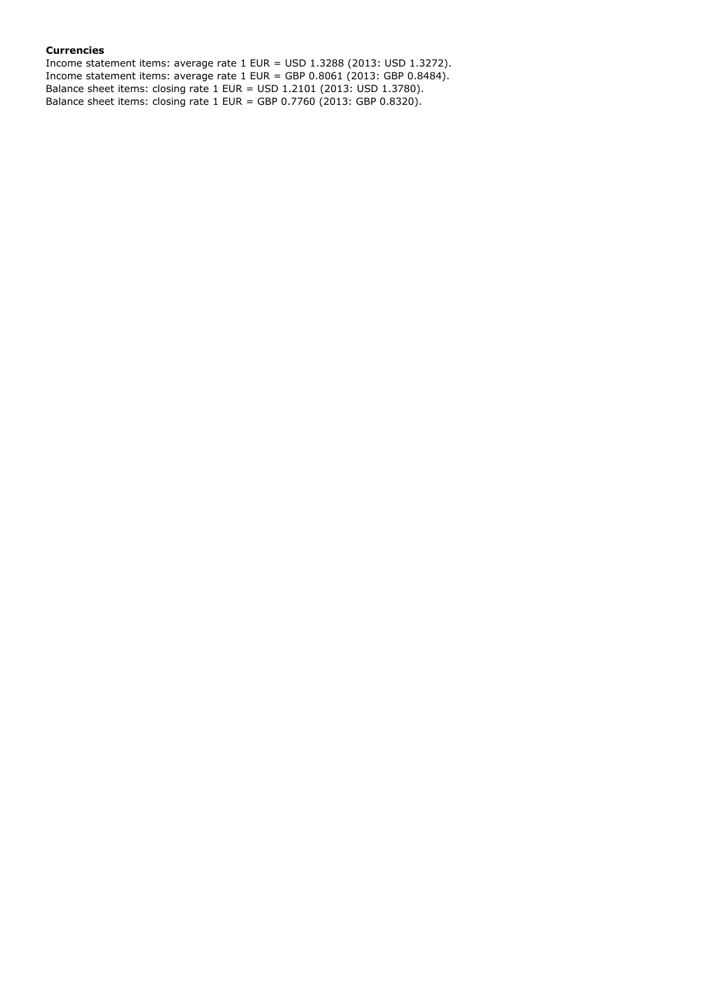### **Currencies**

Income statement items: average rate 1 EUR = USD 1.3288 (2013: USD 1.3272). Income statement items: average rate 1 EUR = GBP  $0.8061$  (2013: GBP  $0.8484$ ). Balance sheet items: closing rate 1 EUR = USD 1.2101 (2013: USD 1.3780). Balance sheet items: closing rate 1 EUR = GBP 0.7760 (2013: GBP 0.8320).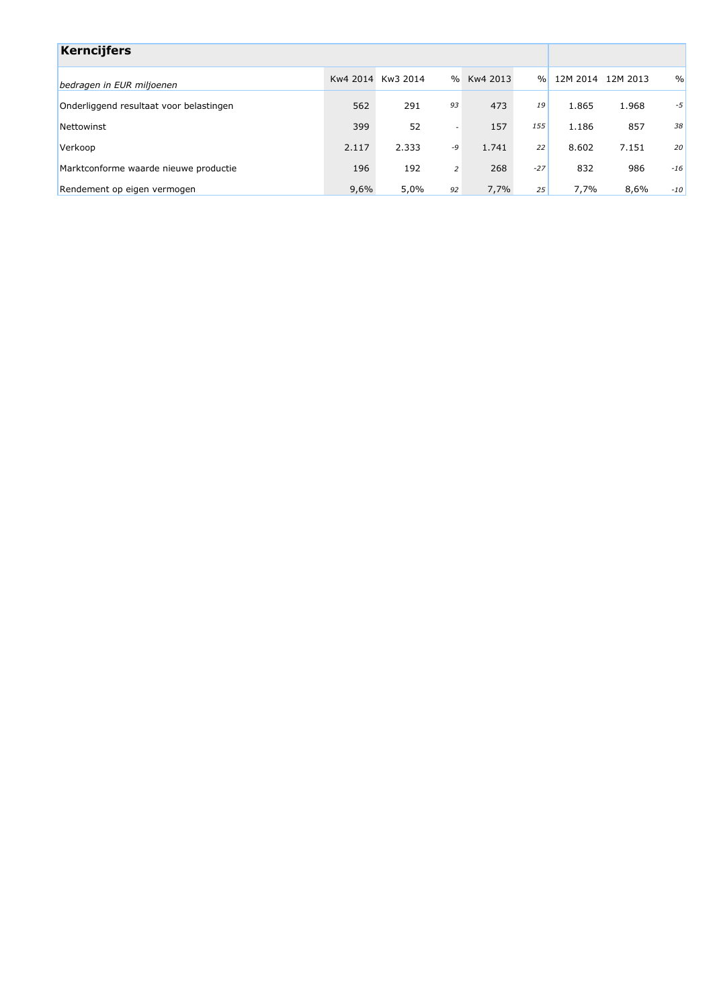| <b>Kerncijfers</b>                      |       |                   |                          |          |               |          |          |               |
|-----------------------------------------|-------|-------------------|--------------------------|----------|---------------|----------|----------|---------------|
| bedragen in EUR miljoenen               |       | Kw4 2014 Kw3 2014 | $\frac{0}{0}$            | Kw4 2013 | $\frac{0}{n}$ | 12M 2014 | 12M 2013 | $\frac{0}{0}$ |
| Onderliggend resultaat voor belastingen | 562   | 291               | 93                       | 473      | 19            | 1.865    | 1.968    | -5            |
| Nettowinst                              | 399   | 52                | $\overline{\phantom{a}}$ | 157      | 155           | 1.186    | 857      | 38            |
| Verkoop                                 | 2.117 | 2.333             | -9                       | 1.741    | 22            | 8.602    | 7.151    | 20            |
| Marktconforme waarde nieuwe productie   | 196   | 192               | $\overline{2}$           | 268      | $-27$         | 832      | 986      | $-16$         |
| Rendement op eigen vermogen             | 9,6%  | 5,0%              | 92                       | 7,7%     | 25            | 7,7%     | 8,6%     | $-10$         |